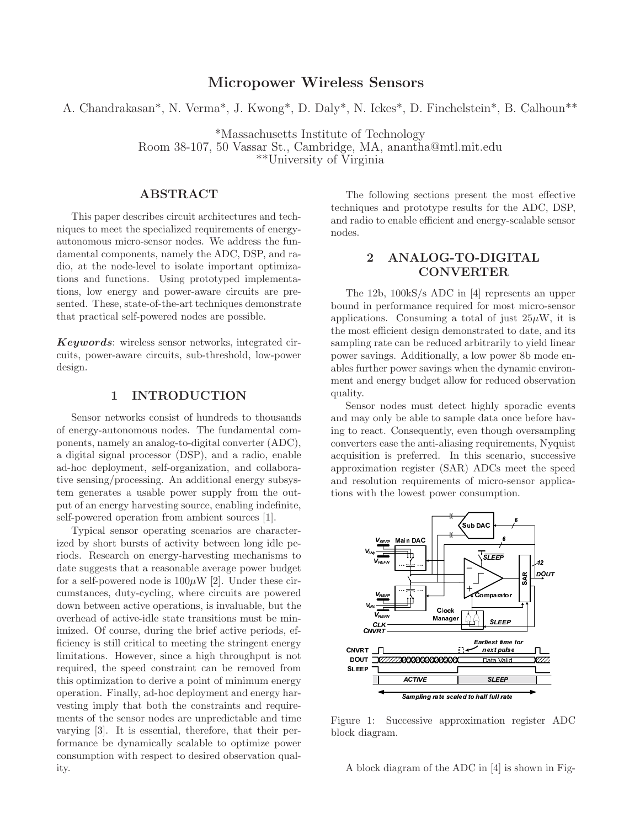## **Micropower Wireless Sensors**

A. Chandrakasan\*, N. Verma\*, J. Kwong\*, D. Daly\*, N. Ickes\*, D. Finchelstein\*, B. Calhoun\*\*

\*Massachusetts Institute of Technology

Room 38-107, 50 Vassar St., Cambridge, MA, anantha@mtl.mit.edu

\*\*University of Virginia

### **ABSTRACT**

This paper describes circuit architectures and techniques to meet the specialized requirements of energyautonomous micro-sensor nodes. We address the fundamental components, namely the ADC, DSP, and radio, at the node-level to isolate important optimizations and functions. Using prototyped implementations, low energy and power-aware circuits are presented. These, state-of-the-art techniques demonstrate that practical self-powered nodes are possible.

*Keywords*: wireless sensor networks, integrated circuits, power-aware circuits, sub-threshold, low-power design.

### **1 INTRODUCTION**

Sensor networks consist of hundreds to thousands of energy-autonomous nodes. The fundamental components, namely an analog-to-digital converter (ADC), a digital signal processor (DSP), and a radio, enable ad-hoc deployment, self-organization, and collaborative sensing/processing. An additional energy subsystem generates a usable power supply from the output of an energy harvesting source, enabling indefinite, self-powered operation from ambient sources [1].

Typical sensor operating scenarios are characterized by short bursts of activity between long idle periods. Research on energy-harvesting mechanisms to date suggests that a reasonable average power budget for a self-powered node is  $100\mu$ W [2]. Under these circumstances, duty-cycling, where circuits are powered down between active operations, is invaluable, but the overhead of active-idle state transitions must be minimized. Of course, during the brief active periods, efficiency is still critical to meeting the stringent energy limitations. However, since a high throughput is not required, the speed constraint can be removed from this optimization to derive a point of minimum energy operation. Finally, ad-hoc deployment and energy harvesting imply that both the constraints and requirements of the sensor nodes are unpredictable and time varying [3]. It is essential, therefore, that their performance be dynamically scalable to optimize power consumption with respect to desired observation quality.

The following sections present the most effective techniques and prototype results for the ADC, DSP, and radio to enable efficient and energy-scalable sensor nodes.

# **2 ANALOG-TO-DIGITAL CONVERTER**

The 12b, 100kS/s ADC in [4] represents an upper bound in performance required for most micro-sensor applications. Consuming a total of just  $25\mu$ W, it is the most efficient design demonstrated to date, and its sampling rate can be reduced arbitrarily to yield linear power savings. Additionally, a low power 8b mode enables further power savings when the dynamic environment and energy budget allow for reduced observation quality.

Sensor nodes must detect highly sporadic events and may only be able to sample data once before having to react. Consequently, even though oversampling converters ease the anti-aliasing requirements, Nyquist acquisition is preferred. In this scenario, successive approximation register (SAR) ADCs meet the speed and resolution requirements of micro-sensor applications with the lowest power consumption.



Figure 1: Successive approximation register ADC block diagram.

A block diagram of the ADC in [4] is shown in Fig-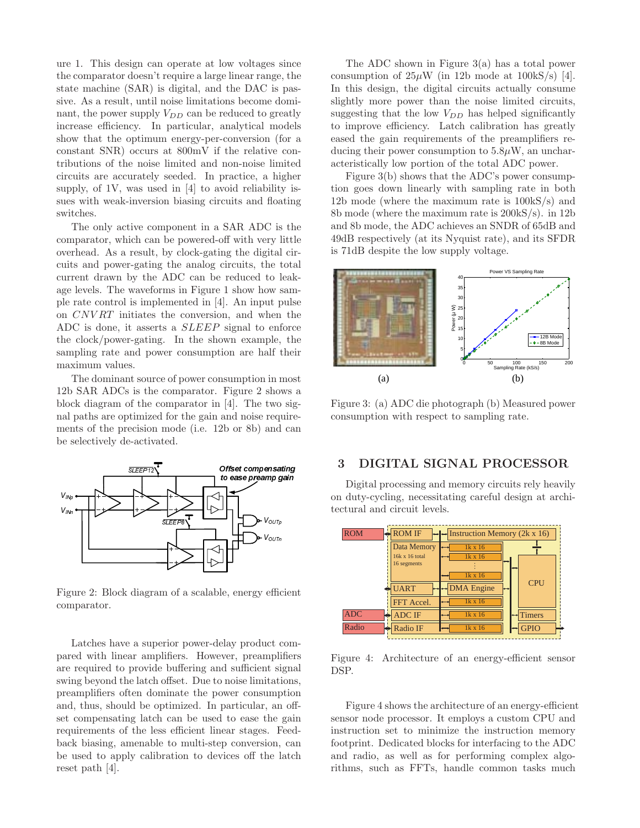ure 1. This design can operate at low voltages since the comparator doesn't require a large linear range, the state machine (SAR) is digital, and the DAC is passive. As a result, until noise limitations become dominant, the power supply  $V_{DD}$  can be reduced to greatly increase efficiency. In particular, analytical models show that the optimum energy-per-conversion (for a constant SNR) occurs at 800mV if the relative contributions of the noise limited and non-noise limited circuits are accurately seeded. In practice, a higher supply, of 1V, was used in [4] to avoid reliability issues with weak-inversion biasing circuits and floating switches.

The only active component in a SAR ADC is the comparator, which can be powered-off with very little overhead. As a result, by clock-gating the digital circuits and power-gating the analog circuits, the total current drawn by the ADC can be reduced to leakage levels. The waveforms in Figure 1 show how sample rate control is implemented in [4]. An input pulse on *CNV RT* initiates the conversion, and when the ADC is done, it asserts a *SLEEP* signal to enforce the clock/power-gating. In the shown example, the sampling rate and power consumption are half their maximum values.

The dominant source of power consumption in most 12b SAR ADCs is the comparator. Figure 2 shows a block diagram of the comparator in [4]. The two signal paths are optimized for the gain and noise requirements of the precision mode (i.e. 12b or 8b) and can be selectively de-activated.



Figure 2: Block diagram of a scalable, energy efficient comparator.

The to ease preamp gain<br>
The preamp gain<br>
De Voutre<br>
De Voutre<br>
Le, energy efficien<br>
elay product com<br>
ever, preamplifier<br>
elay product com<br>
ever, preamplifier<br>
on noise limitations<br>
ower consumption<br>
d to ease the gain<br>
e  $V_{\text{OUTP}}$ <br>  $V_{\text{OUTP}}$ <br>  $V_{\text{OUTP}}$ <br>  $V_{\text{OUTP}}$ <br>  $V_{\text{OUTP}}$ <br>  $V_{\text{OUTP}}$ <br>  $V_{\text{OUTP}}$ <br>  $V_{\text{OUTP}}$ <br>  $V_{\text{OUTP}}$ <br>  $V_{\text{OUTP}}$ <br>  $V_{\text{OUTP}}$ <br>  $V_{\text{OUTP}}$ <br>  $V_{\text{OUTP}}$ <br>  $V_{\text{OUTP}}$ <br>  $V_{\text{OUTP}}$ <br>  $V_{\text{OUTP}}$ <br>  $V_{\text{OUTP}}$ <br>  $V_{\text{OUTP}}$ <br>  $V_{\text$ Latches have a superior power-delay product compared with linear amplifiers. However, preamplifiers are required to provide buffering and sufficient signal swing beyond the latch offset. Due to noise limitations, preamplifiers often dominate the power consumption and, thus, should be optimized. In particular, an offset compensating latch can be used to ease the gain requirements of the less efficient linear stages. Feedback biasing, amenable to multi-step conversion, can be used to apply calibration to devices off the latch reset path [4].

The ADC shown in Figure 3(a) has a total power consumption of  $25\mu$ W (in 12b mode at  $100kS/s$ ) [4]. In this design, the digital circuits actually consume slightly more power than the noise limited circuits, suggesting that the low *VDD* has helped significantly to improve efficiency. Latch calibration has greatly eased the gain requirements of the preamplifiers reducing their power consumption to  $5.8\mu$ W, an uncharacteristically low portion of the total ADC power.

Figure 3(b) shows that the ADC's power consumption goes down linearly with sampling rate in both 12b mode (where the maximum rate is 100kS/s) and 8b mode (where the maximum rate is 200kS/s). in 12b and 8b mode, the ADC achieves an SNDR of 65dB and 49dB respectively (at its Nyquist rate), and its SFDR is 71dB despite the low supply voltage.



Figure 3: (a) ADC die photograph (b) Measured power consumption with respect to sampling rate.

### **3 DIGITAL SIGNAL PROCESSOR**

Digital processing and memory circuits rely heavily on duty-cycling, necessitating careful design at architectural and circuit levels.



Figure 4: Architecture of an energy-efficient sensor DSP.

Figure 4 shows the architecture of an energy-efficient sensor node processor. It employs a custom CPU and instruction set to minimize the instruction memory footprint. Dedicated blocks for interfacing to the ADC and radio, as well as for performing complex algorithms, such as FFTs, handle common tasks much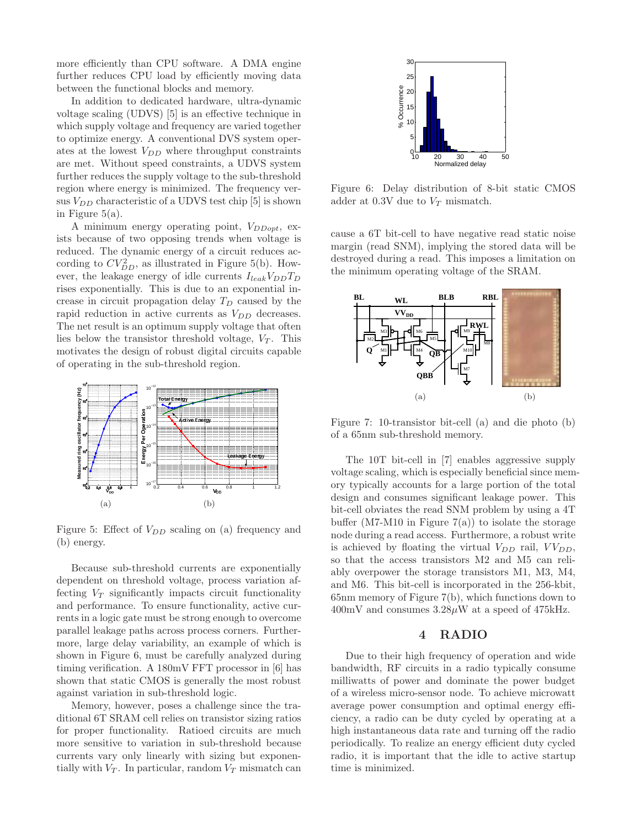more efficiently than CPU software. A DMA engine further reduces CPU load by efficiently moving data between the functional blocks and memory.

In addition to dedicated hardware, ultra-dynamic voltage scaling (UDVS) [5] is an effective technique in which supply voltage and frequency are varied together to optimize energy. A conventional DVS system operates at the lowest  $V_{DD}$  where throughput constraints are met. Without speed constraints, a UDVS system further reduces the supply voltage to the sub-threshold region where energy is minimized. The frequency versus  $V_{DD}$  characteristic of a UDVS test chip [5] is shown in Figure  $5(a)$ .

A minimum energy operating point, *VDDopt*, exists because of two opposing trends when voltage is reduced. The dynamic energy of a circuit reduces according to  $CV_{DD}^2$ , as illustrated in Figure 5(b). However, the leakage energy of idle currents  $I_{leak}V_{DD}T_D$ rises exponentially. This is due to an exponential increase in circuit propagation delay *T<sup>D</sup>* caused by the rapid reduction in active currents as *VDD* decreases. The net result is an optimum supply voltage that often lies below the transistor threshold voltage,  $V_T$ . This motivates the design of robust digital circuits capable of operating in the sub-threshold region.



Figure 5: Effect of  $V_{DD}$  scaling on (a) frequency and (b) energy.

Because sub-threshold currents are exponentially dependent on threshold voltage, process variation affecting  $V_T$  significantly impacts circuit functionality and performance. To ensure functionality, active currents in a logic gate must be strong enough to overcome parallel leakage paths across process corners. Furthermore, large delay variability, an example of which is shown in Figure 6, must be carefully analyzed during timing verification. A 180mV FFT processor in [6] has shown that static CMOS is generally the most robust against variation in sub-threshold logic.

Memory, however, poses a challenge since the traditional 6T SRAM cell relies on transistor sizing ratios for proper functionality. Ratioed circuits are much more sensitive to variation in sub-threshold because currents vary only linearly with sizing but exponentially with  $V_T$ . In particular, random  $V_T$  mismatch can



Figure 6: Delay distribution of 8-bit static CMOS adder at 0.3V due to *V<sup>T</sup>* mismatch.

cause a 6T bit-cell to have negative read static noise margin (read SNM), implying the stored data will be destroyed during a read. This imposes a limitation on the minimum operating voltage of the SRAM.



Figure 7: 10-transistor bit-cell (a) and die photo (b) of a 65nm sub-threshold memory.

The 10T bit-cell in [7] enables aggressive supply voltage scaling, which is especially beneficial since memory typically accounts for a large portion of the total design and consumes significant leakage power. This bit-cell obviates the read SNM problem by using a 4T buffer (M7-M10 in Figure  $7(a)$ ) to isolate the storage node during a read access. Furthermore, a robust write is achieved by floating the virtual  $V_{DD}$  rail,  $VV_{DD}$ , so that the access transistors M2 and M5 can reliably overpower the storage transistors M1, M3, M4, and M6. This bit-cell is incorporated in the 256-kbit, 65nm memory of Figure 7(b), which functions down to  $400mV$  and consumes  $3.28\mu W$  at a speed of  $475kHz$ .

#### **4 RADIO**

Due to their high frequency of operation and wide bandwidth, RF circuits in a radio typically consume milliwatts of power and dominate the power budget of a wireless micro-sensor node. To achieve microwatt average power consumption and optimal energy efficiency, a radio can be duty cycled by operating at a high instantaneous data rate and turning off the radio periodically. To realize an energy efficient duty cycled radio, it is important that the idle to active startup time is minimized.